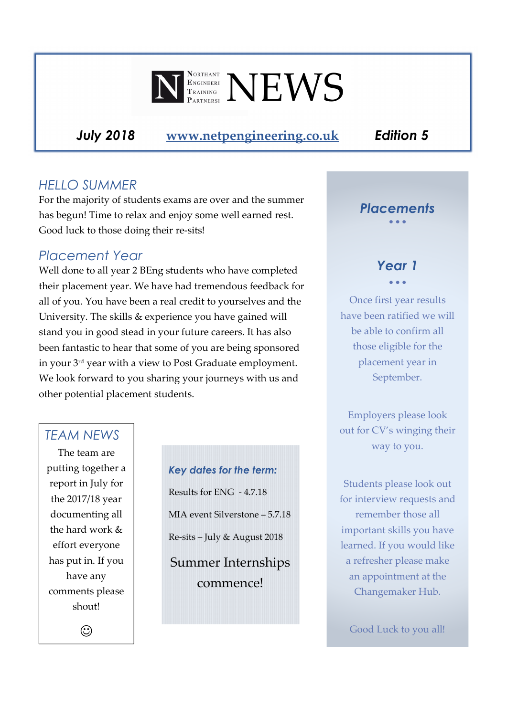

*July 2018* **www.netpengineering.co.uk** *Edition 5*

## *HELLO SUMMER*

For the majority of students exams are over and the summer has begun! Time to relax and enjoy some well earned rest. Good luck to those doing their re-sits!

## *Placement Year*

Well done to all year 2 BEng students who have completed their placement year. We have had tremendous feedback for all of you. You have been a real credit to yourselves and the University. The skills & experience you have gained will stand you in good stead in your future careers. It has also been fantastic to hear that some of you are being sponsored in your 3rd year with a view to Post Graduate employment. We look forward to you sharing your journeys with us and other potential placement students.

#### *TEAM NEWS*

The team are putting together a report in July for the 2017/18 year documenting all the hard work & effort everyone has put in. If you have any comments please shout!

 $\odot$ 

*Key dates for the term:*  Results for ENG - 4.7.18 MIA event Silverstone – 5.7.18 Re-sits – July & August 2018 Summer Internships

commence!

## *Placements*

#### • • •

#### *Year 1*  • • •

Once first year results have been ratified we will be able to confirm all those eligible for the placement year in September.

Employers please look out for CV's winging their way to you.

Students please look out for interview requests and remember those all important skills you have learned. If you would like a refresher please make an appointment at the Changemaker Hub.

Good Luck to you all!